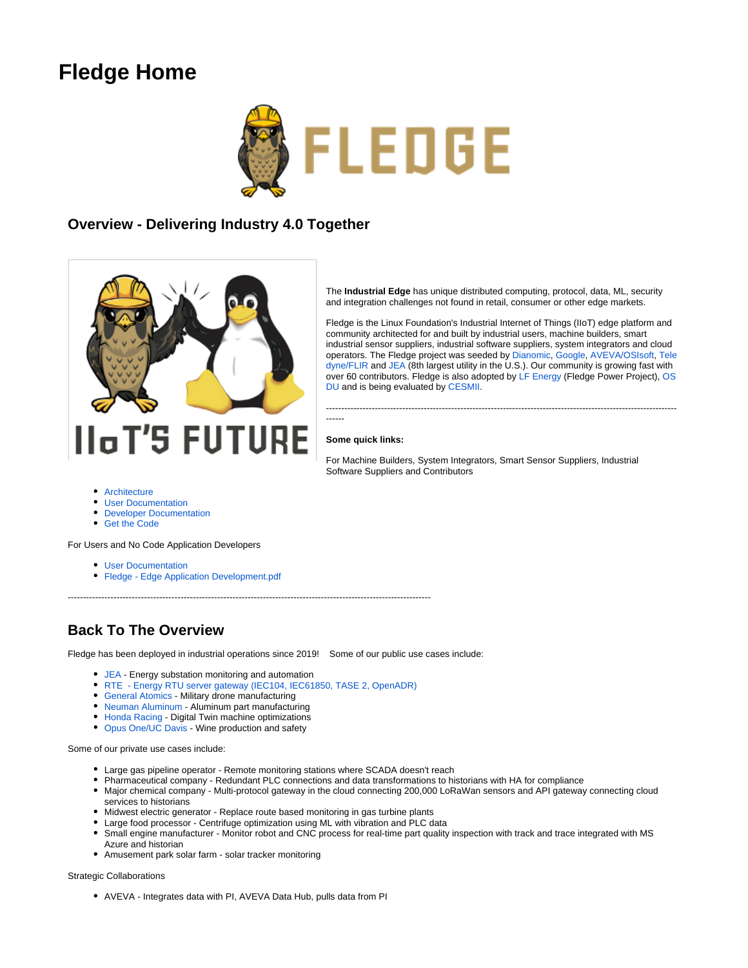# **Fledge Home**



### **Overview - Delivering Industry 4.0 Together**



The **Industrial Edge** has unique distributed computing, protocol, data, ML, security and integration challenges not found in retail, consumer or other edge markets.

Fledge is the Linux Foundation's Industrial Internet of Things (IIoT) edge platform and community architected for and built by industrial users, machine builders, smart industrial sensor suppliers, industrial software suppliers, system integrators and cloud operators. The Fledge project was seeded by [Dianomic,](https://dianomic.com/) [Google](https://github.com/fledge-iot/fledge-north-gcp), [AVEVA/](https://www.osisoft.com/)[OSIsoft,](https://resources.osisoft.com/presentations/introduction-to-foglamp/) [Tele](https://www.flir.com/products/bridge/) [dyne/FLIR](https://www.flir.com/products/bridge/) and [JEA](https://www.jea.com/) (8th largest utility in the U.S.). Our community is growing fast with over 60 contributors. Fledge is also adopted by [LF Energy](https://www.lfenergy.org/projects/fledgepower/) (Fledge Power Project), [OS](https://osduforum.org/) [DU](https://osduforum.org/) and is being evaluated by [CESMII.](https://www.cesmii.org/)

-------------------------------------------------------------------------------------------------------------------

#### **Some quick links:**

------

For Machine Builders, System Integrators, Smart Sensor Suppliers, Industrial Software Suppliers and Contributors

- [Architecture](https://wiki.lfedge.org/display/FLEDGE/Architecture)
- [User Documentation](https://fledge-iot.readthedocs.io/en/latest/)
- [Developer Documentation](http://archives.fledge-iot.org/nightly/source-documentation/html/index.html)
- [Get the Code](https://fledge-iot.readthedocs.io/en/latest/92_downloads.html)

For Users and No Code Application Developers

- [User Documentation](https://fledge-iot.readthedocs.io/en/latest/)
- [Fledge Edge Application Development.pdf](https://wiki.lfedge.org/download/attachments/10389267/Fledge%20%20-%20Edge%20Application%20Development.pdf?version=1&modificationDate=1635983172959&api=v2)

### **Back To The Overview**

Fledge has been deployed in industrial operations since 2019! Some of our public use cases include:

- [JEA](https://wiki.lfedge.org/display/FLEDGE/Use+Cases) Energy substation monitoring and automation
- [RTE Energy RTU server gateway \(IEC104, IEC61850, TASE 2, OpenADR\)](https://www.tfir.io/meet-fledgepower-a-bridge-between-legacy-modern-power-systems/)

-----------------------------------------------------------------------------------------------------------------------

- [General Atomics](https://wiki.lfedge.org/display/FLEDGE/Use+Cases)  Military drone manufacturing
- [Neuman Aluminum](https://wiki.lfedge.org/download/attachments/10389267/Fledge_Community_Presentation_22_09_2021.pptx.pdf?version=1&modificationDate=1639504525963&api=v2) Aluminum part manufacturing
- [Honda Racing](https://www.lfedge.org/2020/03/17/winning-gt3-racing-with-lf-edges-fledge/) Digital Twin machine optimizations
- [Opus One/UC Davis](https://wiki.lfedge.org/download/attachments/10389267/Fledge%20Use%20Case%20-%20UC%20Davis%20and%20Opus%20One.pdf?version=1&modificationDate=1639504328045&api=v2) Wine production and safety

Some of our private use cases include:

- Large gas pipeline operator Remote monitoring stations where SCADA doesn't reach
- Pharmaceutical company Redundant PLC connections and data transformations to historians with HA for compliance
- Major chemical company Multi-protocol gateway in the cloud connecting 200,000 LoRaWan sensors and API gateway connecting cloud services to historians
- Midwest electric generator Replace route based monitoring in gas turbine plants
- Large food processor Centrifuge optimization using ML with vibration and PLC data
- Small engine manufacturer Monitor robot and CNC process for real-time part quality inspection with track and trace integrated with MS Azure and historian
- Amusement park solar farm solar tracker monitoring

Strategic Collaborations

AVEVA - Integrates data with PI, AVEVA Data Hub, pulls data from PI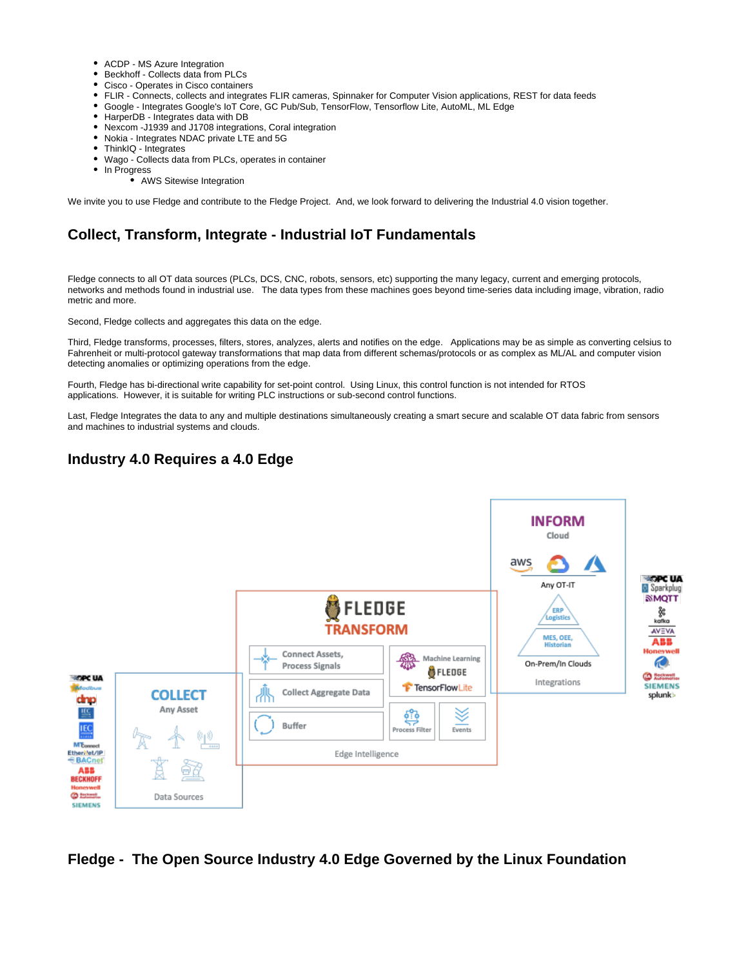- ACDP MS Azure Integration
- Beckhoff Collects data from PLCs
- Cisco Operates in Cisco containers
- FLIR Connects, collects and integrates FLIR cameras, Spinnaker for Computer Vision applications, REST for data feeds
- Google Integrates Google's IoT Core, GC Pub/Sub, TensorFlow, Tensorflow Lite, AutoML, ML Edge
- HarperDB Integrates data with DB
- Nexcom -J1939 and J1708 integrations, Coral integration
- Nokia Integrates NDAC private LTE and 5G
- ThinkIQ Integrates
- Wago Collects data from PLCs, operates in container
- In Progress
	- AWS Sitewise Integration

We invite you to use Fledge and contribute to the Fledge Project. And, we look forward to delivering the Industrial 4.0 vision together.

## **Collect, Transform, Integrate - Industrial IoT Fundamentals**

Fledge connects to all OT data sources (PLCs, DCS, CNC, robots, sensors, etc) supporting the many legacy, current and emerging protocols, networks and methods found in industrial use. The data types from these machines goes beyond time-series data including image, vibration, radio metric and more.

Second, Fledge collects and aggregates this data on the edge.

Third, Fledge transforms, processes, filters, stores, analyzes, alerts and notifies on the edge. Applications may be as simple as converting celsius to Fahrenheit or multi-protocol gateway transformations that map data from different schemas/protocols or as complex as ML/AL and computer vision detecting anomalies or optimizing operations from the edge.

Fourth, Fledge has bi-directional write capability for set-point control. Using Linux, this control function is not intended for RTOS applications. However, it is suitable for writing PLC instructions or sub-second control functions.

Last, Fledge Integrates the data to any and multiple destinations simultaneously creating a smart secure and scalable OT data fabric from sensors and machines to industrial systems and clouds.

### **Industry 4.0 Requires a 4.0 Edge**



### **Fledge - The Open Source Industry 4.0 Edge Governed by the Linux Foundation**